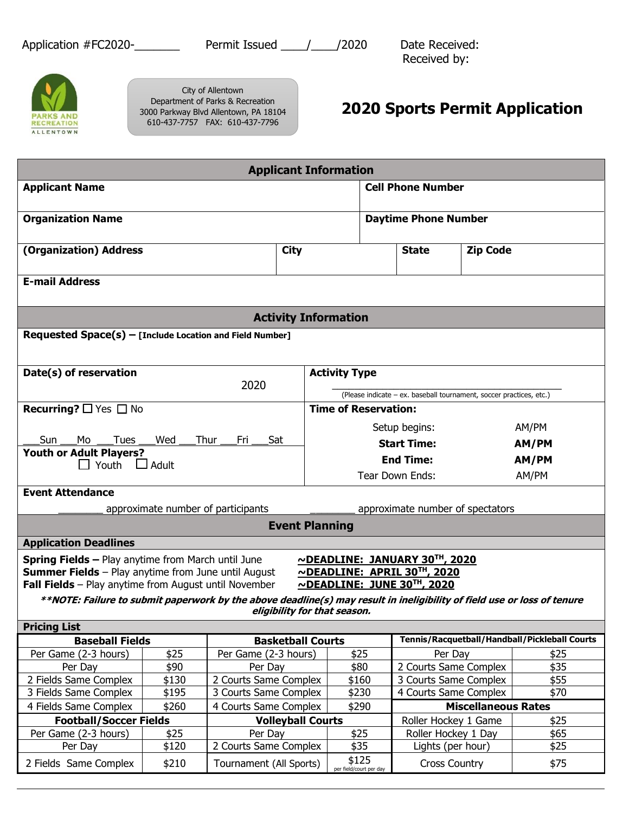Application #FC2020-\_\_\_\_\_\_\_\_\_\_ Permit Issued \_\_\_\_\_/\_\_\_\_\_/2020 Date Received:

Received by:



City of Allentown Department of Parks & Recreation 3000 Parkway Blvd Allentown, PA 18104 610-437-7757 FAX: 610-437-7796

## **2020 Sports Permit Application**

| <b>Applicant Information</b>                                                                                            |               |                                                   |                              |                                                                     |                             |                                               |                            |              |  |  |  |
|-------------------------------------------------------------------------------------------------------------------------|---------------|---------------------------------------------------|------------------------------|---------------------------------------------------------------------|-----------------------------|-----------------------------------------------|----------------------------|--------------|--|--|--|
| <b>Applicant Name</b>                                                                                                   |               | <b>Cell Phone Number</b>                          |                              |                                                                     |                             |                                               |                            |              |  |  |  |
|                                                                                                                         |               |                                                   |                              |                                                                     |                             |                                               |                            |              |  |  |  |
| <b>Organization Name</b>                                                                                                |               |                                                   |                              |                                                                     | <b>Daytime Phone Number</b> |                                               |                            |              |  |  |  |
| (Organization) Address                                                                                                  |               | <b>City</b>                                       |                              |                                                                     |                             | <b>State</b>                                  | <b>Zip Code</b>            |              |  |  |  |
|                                                                                                                         |               |                                                   |                              |                                                                     |                             |                                               |                            |              |  |  |  |
| <b>E-mail Address</b>                                                                                                   |               |                                                   |                              |                                                                     |                             |                                               |                            |              |  |  |  |
| <b>Activity Information</b>                                                                                             |               |                                                   |                              |                                                                     |                             |                                               |                            |              |  |  |  |
| Requested Space(s) - [Include Location and Field Number]                                                                |               |                                                   |                              |                                                                     |                             |                                               |                            |              |  |  |  |
|                                                                                                                         |               |                                                   |                              |                                                                     |                             |                                               |                            |              |  |  |  |
|                                                                                                                         |               |                                                   |                              |                                                                     |                             |                                               |                            |              |  |  |  |
| Date(s) of reservation<br>2020                                                                                          |               |                                                   |                              | <b>Activity Type</b>                                                |                             |                                               |                            |              |  |  |  |
|                                                                                                                         |               |                                                   |                              | (Please indicate - ex. baseball tournament, soccer practices, etc.) |                             |                                               |                            |              |  |  |  |
| <b>Recurring?</b> $\Box$ Yes $\Box$ No                                                                                  |               |                                                   |                              | <b>Time of Reservation:</b>                                         |                             |                                               |                            |              |  |  |  |
|                                                                                                                         |               |                                                   |                              |                                                                     |                             | Setup begins:                                 |                            | AM/PM        |  |  |  |
| Tues<br>Wed<br>Thur<br><b>Sun</b><br>Mo<br>Fri Sat                                                                      |               |                                                   |                              |                                                                     |                             | <b>Start Time:</b>                            |                            | AM/PM        |  |  |  |
| <b>Youth or Adult Players?</b>                                                                                          |               |                                                   |                              | <b>End Time:</b>                                                    |                             |                                               |                            | AM/PM        |  |  |  |
| $\Box$ Adult<br>$\Box$ Youth                                                                                            |               |                                                   |                              | Tear Down Ends:                                                     |                             |                                               |                            | AM/PM        |  |  |  |
| <b>Event Attendance</b>                                                                                                 |               |                                                   |                              |                                                                     |                             |                                               |                            |              |  |  |  |
|                                                                                                                         |               |                                                   |                              |                                                                     |                             |                                               |                            |              |  |  |  |
|                                                                                                                         |               | approximate number of participants                |                              |                                                                     |                             | approximate number of spectators              |                            |              |  |  |  |
|                                                                                                                         |               |                                                   | <b>Event Planning</b>        |                                                                     |                             |                                               |                            |              |  |  |  |
| <b>Application Deadlines</b>                                                                                            |               |                                                   |                              |                                                                     |                             |                                               |                            |              |  |  |  |
| <b>Spring Fields - Play anytime from March until June</b>                                                               |               |                                                   |                              |                                                                     |                             | NDEADLINE: JANUARY 30TH, 2020                 |                            |              |  |  |  |
| <b>Summer Fields</b> - Play anytime from June until August                                                              |               |                                                   |                              |                                                                     |                             | NDEADLINE: APRIL 30TH, 2020                   |                            |              |  |  |  |
| Fall Fields - Play anytime from August until November                                                                   |               |                                                   |                              |                                                                     |                             | ~DEADLINE: JUNE 30TH, 2020                    |                            |              |  |  |  |
| **NOTE: Failure to submit paperwork by the above deadline(s) may result in ineligibility of field use or loss of tenure |               |                                                   | eligibility for that season. |                                                                     |                             |                                               |                            |              |  |  |  |
| <b>Pricing List</b>                                                                                                     |               |                                                   |                              |                                                                     |                             |                                               |                            |              |  |  |  |
| <b>Baseball Fields</b>                                                                                                  |               |                                                   |                              | <b>Basketball Courts</b>                                            |                             | Tennis/Racquetball/Handball/Pickleball Courts |                            |              |  |  |  |
| Per Game (2-3 hours)                                                                                                    | \$25          | Per Game (2-3 hours)                              |                              | \$25                                                                |                             | Per Day                                       |                            | \$25         |  |  |  |
| Per Day                                                                                                                 | \$90          | Per Day                                           |                              | \$80                                                                |                             | 2 Courts Same Complex                         |                            | \$35         |  |  |  |
| 2 Fields Same Complex                                                                                                   | \$130         | 2 Courts Same Complex                             |                              | \$160                                                               |                             | 3 Courts Same Complex                         |                            | \$55         |  |  |  |
| 3 Fields Same Complex                                                                                                   | \$195         | 3 Courts Same Complex                             |                              | \$230                                                               |                             | 4 Courts Same Complex                         |                            | \$70         |  |  |  |
| 4 Fields Same Complex                                                                                                   | \$260         | 4 Courts Same Complex<br><b>Volleyball Courts</b> |                              | \$290                                                               |                             |                                               | <b>Miscellaneous Rates</b> |              |  |  |  |
| <b>Football/Soccer Fields</b>                                                                                           |               |                                                   |                              |                                                                     |                             | Roller Hockey 1 Game                          |                            | \$25         |  |  |  |
| Per Game (2-3 hours)<br>Per Day                                                                                         | \$25<br>\$120 | Per Day<br>2 Courts Same Complex                  |                              | \$25<br>\$35                                                        |                             | Roller Hockey 1 Day<br>Lights (per hour)      |                            | \$65<br>\$25 |  |  |  |
|                                                                                                                         |               |                                                   |                              | \$125                                                               |                             |                                               |                            |              |  |  |  |
| 2 Fields Same Complex                                                                                                   | \$210         | Tournament (All Sports)                           |                              | per field/court per day                                             |                             | <b>Cross Country</b>                          |                            | \$75         |  |  |  |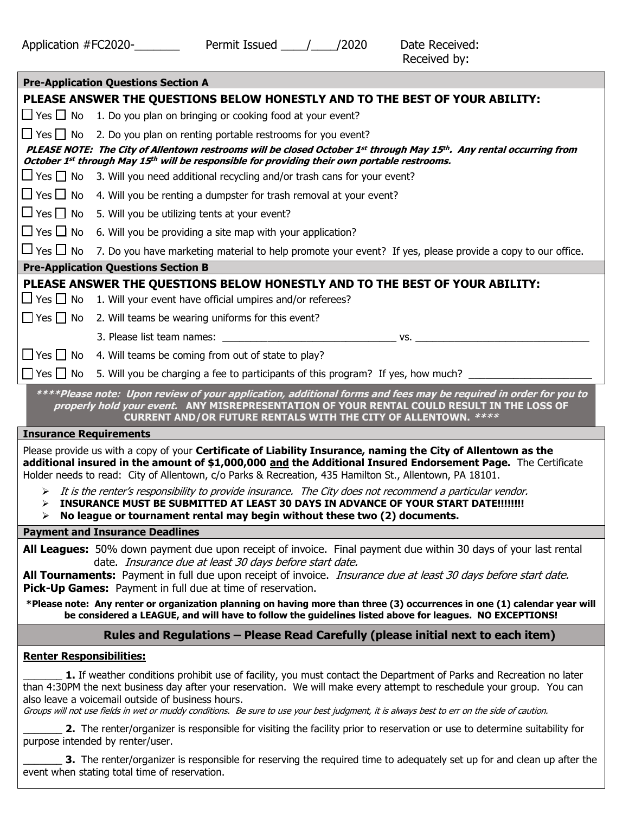| <b>Pre-Application Questions Section A</b>                                                                                                                                                                                                                                                                                                                                                                                                       |
|--------------------------------------------------------------------------------------------------------------------------------------------------------------------------------------------------------------------------------------------------------------------------------------------------------------------------------------------------------------------------------------------------------------------------------------------------|
| PLEASE ANSWER THE QUESTIONS BELOW HONESTLY AND TO THE BEST OF YOUR ABILITY:                                                                                                                                                                                                                                                                                                                                                                      |
| $\Box$ Yes $\Box$ No 1. Do you plan on bringing or cooking food at your event?                                                                                                                                                                                                                                                                                                                                                                   |
| $\Box$ Yes $\Box$ No<br>2. Do you plan on renting portable restrooms for you event?                                                                                                                                                                                                                                                                                                                                                              |
| PLEASE NOTE: The City of Allentown restrooms will be closed October 1st through May 15th. Any rental occurring from<br>October 1st through May 15th will be responsible for providing their own portable restrooms.                                                                                                                                                                                                                              |
| $\Box$ Yes $\Box$ No<br>3. Will you need additional recycling and/or trash cans for your event?                                                                                                                                                                                                                                                                                                                                                  |
| $\Box$ Yes $\Box$ No<br>4. Will you be renting a dumpster for trash removal at your event?                                                                                                                                                                                                                                                                                                                                                       |
| $\Box$ Yes $\Box$ No<br>5. Will you be utilizing tents at your event?                                                                                                                                                                                                                                                                                                                                                                            |
| $\Box$ Yes $\Box$ No<br>6. Will you be providing a site map with your application?                                                                                                                                                                                                                                                                                                                                                               |
| $\Box$ Yes $\Box$ No<br>7. Do you have marketing material to help promote your event? If yes, please provide a copy to our office.                                                                                                                                                                                                                                                                                                               |
| <b>Pre-Application Questions Section B</b>                                                                                                                                                                                                                                                                                                                                                                                                       |
| PLEASE ANSWER THE QUESTIONS BELOW HONESTLY AND TO THE BEST OF YOUR ABILITY:                                                                                                                                                                                                                                                                                                                                                                      |
| $\Box$ Yes $\Box$ No<br>1. Will your event have official umpires and/or referees?                                                                                                                                                                                                                                                                                                                                                                |
| $\Box$ Yes $\Box$ No<br>2. Will teams be wearing uniforms for this event?                                                                                                                                                                                                                                                                                                                                                                        |
|                                                                                                                                                                                                                                                                                                                                                                                                                                                  |
| $\Box$ Yes $\Box$ No<br>4. Will teams be coming from out of state to play?                                                                                                                                                                                                                                                                                                                                                                       |
| $\Box$ Yes $\Box$ No<br>5. Will you be charging a fee to participants of this program? If yes, how much?                                                                                                                                                                                                                                                                                                                                         |
| ****Please note: Upon review of your application, additional forms and fees may be required in order for you to<br>properly hold your event. ANY MISREPRESENTATION OF YOUR RENTAL COULD RESULT IN THE LOSS OF<br>CURRENT AND/OR FUTURE RENTALS WITH THE CITY OF ALLENTOWN. ****                                                                                                                                                                  |
| <b>Insurance Requirements</b>                                                                                                                                                                                                                                                                                                                                                                                                                    |
| Please provide us with a copy of your Certificate of Liability Insurance, naming the City of Allentown as the<br>additional insured in the amount of \$1,000,000 and the Additional Insured Endorsement Page. The Certificate<br>Holder needs to read: City of Allentown, c/o Parks & Recreation, 435 Hamilton St., Allentown, PA 18101.                                                                                                         |
| It is the renter's responsibility to provide insurance. The City does not recommend a particular vendor.<br>⋗<br>INSURANCE MUST BE SUBMITTED AT LEAST 30 DAYS IN ADVANCE OF YOUR START DATE!!!!!!!!<br>⋗<br>No league or tournament rental may begin without these two (2) documents.<br>⋗                                                                                                                                                       |
| <b>Payment and Insurance Deadlines</b>                                                                                                                                                                                                                                                                                                                                                                                                           |
| All Leagues: 50% down payment due upon receipt of invoice. Final payment due within 30 days of your last rental<br>date. Insurance due at least 30 days before start date.<br>All Tournaments: Payment in full due upon receipt of invoice. <i>Insurance due at least 30 days before start date.</i><br>Pick-Up Games: Payment in full due at time of reservation.                                                                               |
| *Please note: Any renter or organization planning on having more than three (3) occurrences in one (1) calendar year will<br>be considered a LEAGUE, and will have to follow the guidelines listed above for leagues. NO EXCEPTIONS!                                                                                                                                                                                                             |
| Rules and Regulations - Please Read Carefully (please initial next to each item)                                                                                                                                                                                                                                                                                                                                                                 |
| <b>Renter Responsibilities:</b>                                                                                                                                                                                                                                                                                                                                                                                                                  |
| 1. If weather conditions prohibit use of facility, you must contact the Department of Parks and Recreation no later<br>than 4:30PM the next business day after your reservation. We will make every attempt to reschedule your group. You can<br>also leave a voicemail outside of business hours.<br>Groups will not use fields in wet or muddy conditions. Be sure to use your best judgment, it is always best to err on the side of caution. |
| 2. The renter/organizer is responsible for visiting the facility prior to reservation or use to determine suitability for<br>purpose intended by renter/user.                                                                                                                                                                                                                                                                                    |

3. The renter/organizer is responsible for reserving the required time to adequately set up for and clean up after the event when stating total time of reservation.